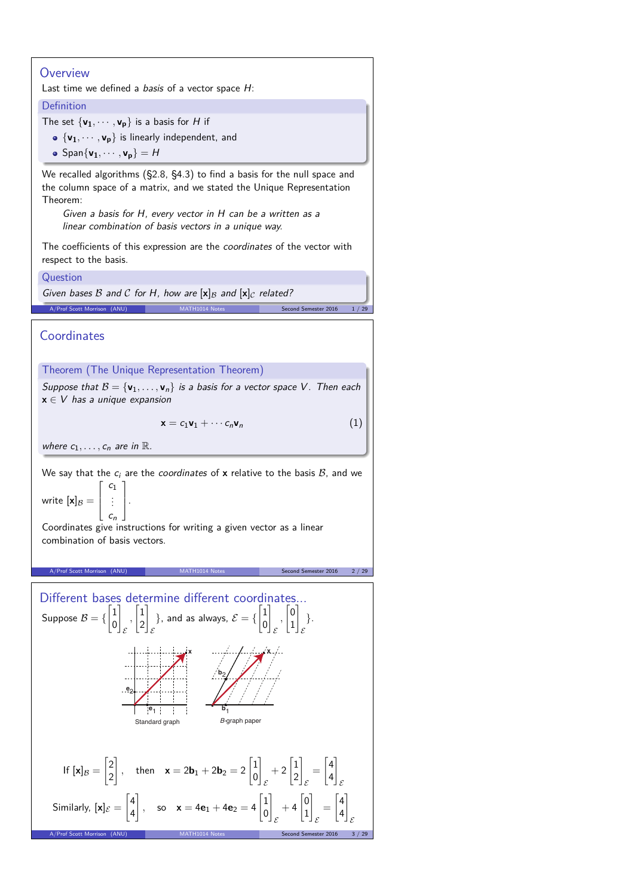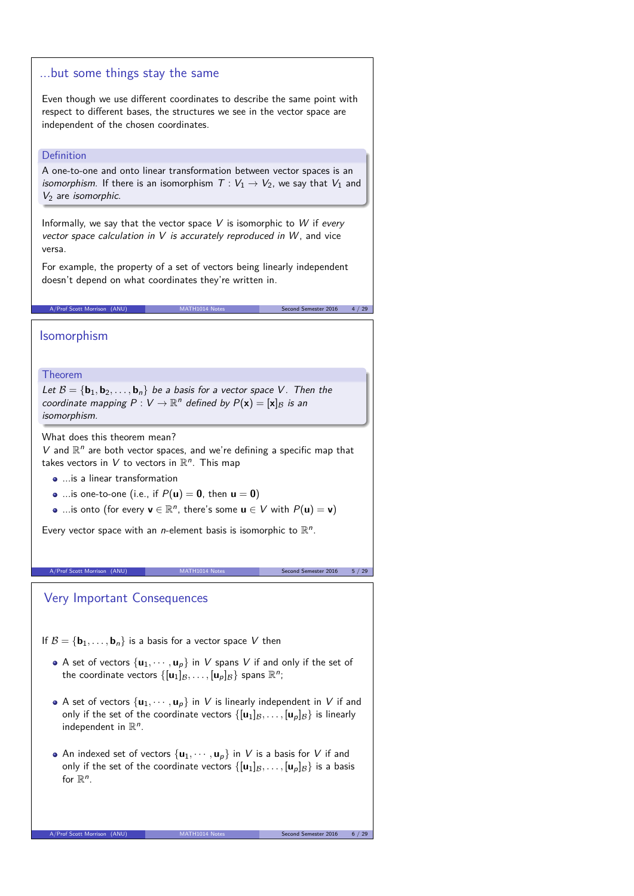### ...but some things stay the same

Even though we use different coordinates to describe the same point with respect to different bases, the structures we see in the vector space are independent of the chosen coordinates.

### Definition

A one-to-one and onto linear transformation between vector spaces is an isomorphism. If there is an isomorphism  $T: V_1 \rightarrow V_2$ , we say that  $V_1$  and  $V_2$  are *isomorphic*.

Informally, we say that the vector space  $V$  is isomorphic to  $W$  if every vector space calculation in  $V$  is accurately reproduced in  $W$ , and vice versa.

For example, the property of a set of vectors being linearly independent doesn't depend on what coordinates they're written in.

A/Prof Scott Morrison (ANU) MATH1014 Notes Second Semester 2016 4 / 29

## Isomorphism

### Theorem

Let  $B = \{b_1, b_2, \ldots, b_n\}$  be a basis for a vector space V. Then the coordinate mapping  $P: V \to \mathbb{R}^n$  defined by  $P(\mathbf{x}) = [\mathbf{x}]_B$  is an isomorphism.

What does this theorem mean?

 $V$  and  $\mathbb{R}^n$  are both vector spaces, and we're defining a specific map that takes vectors in V to vectors in  $\mathbb{R}^n$ . This map

- ...is a linear transformation
- ...is one-to-one (i.e., if  $P(\mathbf{u}) = \mathbf{0}$ , then  $\mathbf{u} = \mathbf{0}$ )
- ...is onto (for every  $\mathbf{v} \in \mathbb{R}^n$ , there's some  $\mathbf{u} \in V$  with  $P(\mathbf{u}) = \mathbf{v}$ )

Every vector space with an *n*-element basis is isomorphic to  $\mathbb{R}^n$ .

#### A/Prof Scott Morrison (ANU) MATH1014 Notes Second Semester 2016 5 / 29

Very Important Consequences

If  $B = {\bf{b}_1, \ldots, b_n}$  is a basis for a vector space V then

- A set of vectors  $\{u_1, \dots, u_p\}$  in V spans V if and only if the set of the coordinate vectors  $\{[\mathbf{u}_1]_\mathcal{B}, \ldots, [\mathbf{u}_p]_\mathcal{B}\}$  spans  $\mathbb{R}^n$ ;
- A set of vectors  $\{u_1, \dots, u_p\}$  in V is linearly independent in V if and only if the set of the coordinate vectors  $\{[\mathbf{u}_1]_\mathcal{B}, \ldots, [\mathbf{u}_p]_\mathcal{B}\}$  is linearly independent in  $\mathbb{R}^n$ .
- An indexed set of vectors  $\{u_1, \dots, u_p\}$  in V is a basis for V if and only if the set of the coordinate vectors  $\{[\mathbf{u}_1]_B, \ldots, [\mathbf{u}_p]_B\}$  is a basis for  $\mathbb{R}^n$ .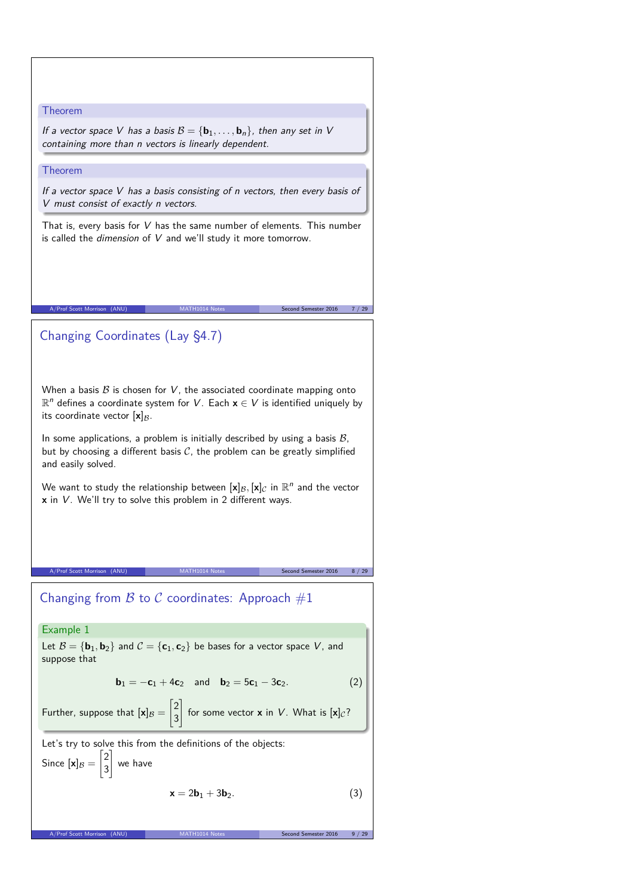### Theorem

If a vector space V has a basis  $B = {\bf{b}_1, \ldots, b_n}$ , then any set in V containing more than n vectors is linearly dependent.

#### Theorem

If a vector space  $V$  has a basis consisting of n vectors, then every basis of V must consist of exactly n vectors.

That is, every basis for V has the same number of elements. This number is called the *dimension* of  $V$  and we'll study it more tomorrow.

A/Prof Scott Morrison (ANU) MATH1014 Notes Second Semester 2016 7 / 29

# Changing Coordinates (Lay §4.7)

When a basis  $B$  is chosen for  $V$ , the associated coordinate mapping onto R <sup>n</sup> defines a coordinate system for <sup>V</sup>. Each **<sup>x</sup>** <sup>∈</sup> <sup>V</sup> is identified uniquely by its coordinate vector  $[x]_B$ .

In some applications, a problem is initially described by using a basis  $B$ , but by choosing a different basis  $C$ , the problem can be greatly simplified and easily solved.

We want to study the relationship between  $[\mathbf{x}]_B, [\mathbf{x}]_C$  in  $\mathbb{R}^n$  and the vector **x** in V. We'll try to solve this problem in 2 different ways.

A/Prof Scott Morrison (ANU) MATH1014 Notes Second Semester 2016 8 / 29

# Changing from  $\beta$  to  $\beta$  coordinates: Approach  $\#1$

### Example 1

Let  $B = {\bf{b}_1, b_2}$  and  $C = {\bf{c}_1, c_2}$  be bases for a vector space V, and suppose that

$$
\mathbf{b}_1 = -\mathbf{c}_1 + 4\mathbf{c}_2 \quad \text{and} \quad \mathbf{b}_2 = 5\mathbf{c}_1 - 3\mathbf{c}_2. \tag{2}
$$

Further, suppose that 
$$
[\mathbf{x}]_B = \begin{bmatrix} 2 \\ 3 \end{bmatrix}
$$
 for some vector **x** in *V*. What is  $[\mathbf{x}]_C$ ?

Let's try to solve this from the definitions of the objects:  $\lceil 2 \rceil$ 

Since 
$$
[\mathbf{x}]_B = \begin{bmatrix} 2 \\ 3 \end{bmatrix}
$$
 we have

$$
\mathbf{x} = 2\mathbf{b}_1 + 3\mathbf{b}_2. \tag{3}
$$

A/Prof Scott Morrison (ANU)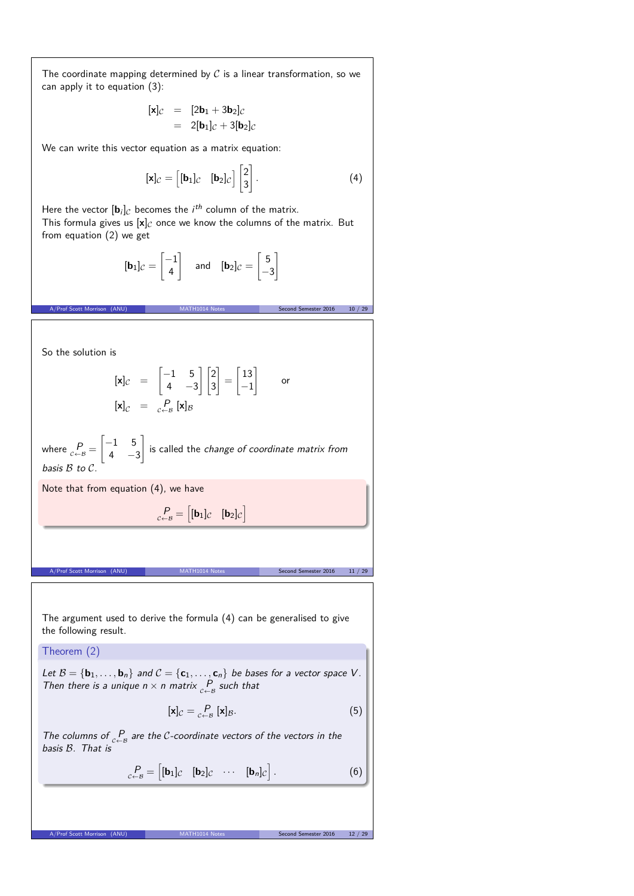The coordinate mapping determined by  $C$  is a linear transformation, so we can apply it to equation (3):

$$
\begin{array}{rcl} [\mathbf{x}]_{\mathcal{C}} & = & [2\mathbf{b}_1 + 3\mathbf{b}_2]_{\mathcal{C}} \\ & = & 2[\mathbf{b}_1]_{\mathcal{C}} + 3[\mathbf{b}_2]_{\mathcal{C}} \end{array}
$$

We can write this vector equation as a matrix equation:

$$
[\mathbf{x}]_{\mathcal{C}} = \begin{bmatrix} [\mathbf{b}_1]_{\mathcal{C}} & [\mathbf{b}_2]_{\mathcal{C}} \end{bmatrix} \begin{bmatrix} 2 \\ 3 \end{bmatrix}.
$$
 (4)

Here the vector  $[\mathbf{b}_i]_C$  becomes the *i*<sup>th</sup> column of the matrix. This formula gives us  $[x]_C$  once we know the columns of the matrix. But from equation (2) we get

$$
[\mathbf{b}_1]_{\mathcal{C}} = \begin{bmatrix} -1 \\ 4 \end{bmatrix} \quad \text{and} \quad [\mathbf{b}_2]_{\mathcal{C}} = \begin{bmatrix} 5 \\ -3 \end{bmatrix}
$$

A/Prof Scott Morrison (ANU) MATH1014 Notes Second Semester 2016 10 / 29

So the solution is

$$
\begin{array}{rcl}\n[\mathbf{x}]_{\mathcal{C}} & = & \begin{bmatrix} -1 & 5 \\ 4 & -3 \end{bmatrix} \begin{bmatrix} 2 \\ 3 \end{bmatrix} = \begin{bmatrix} 13 \\ -1 \end{bmatrix} \qquad \text{or} \\
[\mathbf{x}]_{\mathcal{C}} & = & \begin{bmatrix} P \\ c \end{bmatrix} \mathbf{x}]_{\mathcal{B}}\n\end{array}
$$

where  $P_{c \leftarrow B} =$  $\begin{bmatrix} -1 & 5 \end{bmatrix}$  $4 -3$ 1 is called the change of coordinate matrix from basis B to C.

 $P_{c \leftarrow B} = \begin{bmatrix} [\mathbf{b}_1]_C & [\mathbf{b}_2]_C \end{bmatrix}$ 

A/Prof Scott Morrison (ANU) MATH1014 Notes Second Semester 2016 11 / 29

Note that from equation (4), we have

The argument used to derive the formula (4) can be generalised to give the following result.

Theorem (2)

Let  $\mathcal{B} = \{\mathbf{b}_1, \ldots, \mathbf{b}_n\}$  and  $\mathcal{C} = \{\mathbf{c}_1, \ldots, \mathbf{c}_n\}$  be bases for a vector space V. Then there is a unique  $n \times n$  matrix  $P_{\epsilon-\beta}$  such that

$$
[\mathbf{x}]_{\mathcal{C}} = \underset{\mathcal{C} \leftarrow \mathcal{B}}{\mathcal{P}} [\mathbf{x}]_{\mathcal{B}}.\tag{5}
$$

The columns of  $P_{c\leftarrow B}$  are the C-coordinate vectors of the vectors in the basis B. That is

A/Prof Scott Morrison (ANU) MATH1014 Notes Second Semester 2016 12 / 2

$$
P_{c\leftarrow B} = \begin{bmatrix} [\mathbf{b}_1]_c & [\mathbf{b}_2]_c & \cdots & [\mathbf{b}_n]_c \end{bmatrix}.
$$
 (6)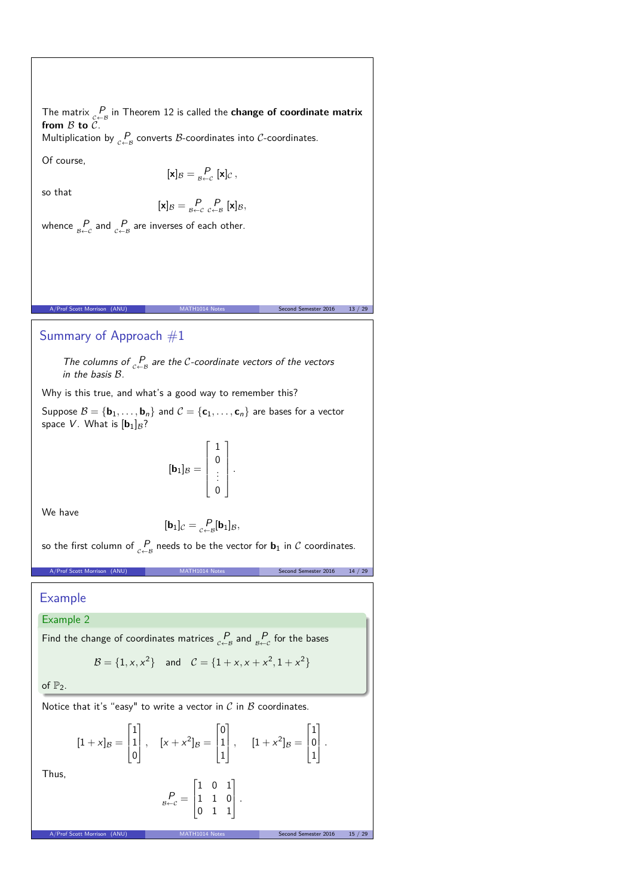The matrix  $P$ <sub> $\subset \leftarrow B$ </sub> in Theorem 12 is called the **change of coordinate matrix** from  $\beta$  to  $\beta$ .

Multiplication by  $P_{\epsilon \leftarrow B}$  converts B-coordinates into C-coordinates.

Of course,

$$
[\mathbf{x}]_{\mathcal{B}} = \underset{\mathcal{B} \leftarrow \mathcal{C}}{\mathcal{P}} [\mathbf{x}]_{\mathcal{C}},
$$

so that

$$
[\mathbf{x}]_{\mathcal{B}} = \underset{\mathcal{B} \leftarrow c}{P} \underset{c \leftarrow \mathcal{B}}{P} [\mathbf{x}]_{\mathcal{B}},
$$

whence  $\frac{P}{\beta \leftarrow c}$  and  $\frac{P}{c \leftarrow B}$  are inverses of each other.

# Summary of Approach #1

The columns of  $P_{c \leftarrow B}$  are the C-coordinate vectors of the vectors in the basis B.

MATH1014 Notes Second Semester 2016 13 / 29

Why is this true, and what's a good way to remember this?

Suppose  $\mathcal{B} = \{ \mathbf{b}_1, \ldots, \mathbf{b}_n \}$  and  $\mathcal{C} = \{ \mathbf{c}_1, \ldots, \mathbf{c}_n \}$  are bases for a vector space V. What is  $[\mathbf{b}_1]_{\mathcal{B}}$ ?

$$
[\mathbf{b}_1]_{\mathcal{B}} = \left[\begin{array}{c}1\\0\\\vdots\\0\end{array}\right].
$$

We have

$$
[\mathbf{b}_1]_{\mathcal{C}} = \underset{\mathcal{C} \leftarrow \mathcal{B}}{\mathcal{P}}[\mathbf{b}_1]_{\mathcal{B}},
$$

so the first column of  $\underset{c \leftarrow B}{P}$  needs to be the vector for  $\mathbf{b}_1$  in  $\mathcal C$  coordinates.

A/Prof Scott Morrison (ANU) MATH1014 Notes Second Semester 2016 14 / 29

Example

# Example 2

Find the change of coordinates matrices  $\frac{P}{c-B}$  and  $\frac{P}{B+c}$  for the bases

$$
\mathcal{B} = \{1, x, x^2\} \text{ and } \mathcal{C} = \{1 + x, x + x^2, 1 + x^2\}
$$

of  $\mathbb{P}_2$ .

Notice that it's "easy" to write a vector in  $C$  in  $B$  coordinates.

A/Prof Scott Morrison (ANU) MATH1014 Notes Second Semester 2016

$$
[1+x]_B = \begin{bmatrix} 1 \\ 1 \\ 0 \end{bmatrix}, \quad [x+x^2]_B = \begin{bmatrix} 0 \\ 1 \\ 1 \end{bmatrix}, \quad [1+x^2]_B = \begin{bmatrix} 1 \\ 0 \\ 1 \end{bmatrix}.
$$

Thus,

$$
P_{\beta \leftarrow \mathcal{C}} = \begin{bmatrix} 1 & 0 & 1 \\ 1 & 1 & 0 \\ 0 & 1 & 1 \end{bmatrix}.
$$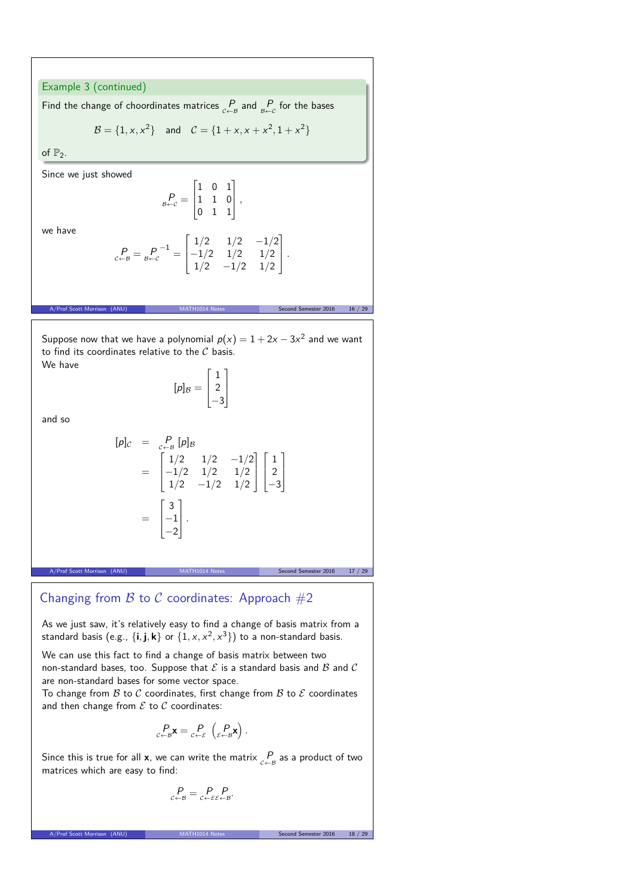### Example 3 (continued)

Find the change of choordinates matrices  $P_{\epsilon \leftarrow B}$  and  $P_{\beta \leftarrow C}$  for the bases

$$
\mathcal{B} = \{1, x, x^2\} \quad \text{and} \quad \mathcal{C} = \{1 + x, x + x^2, 1 + x^2\}
$$

of  $\mathbb{P}_2$ .

Since we just showed

$$
P_{B \leftarrow C} = \begin{bmatrix} 1 & 0 & 1 \\ 1 & 1 & 0 \\ 0 & 1 & 1 \end{bmatrix},
$$

we have

$$
{}_{c \leftarrow B}^P = {}_{B \leftarrow c}^P{}^{-1} = \begin{bmatrix} 1/2 & 1/2 & -1/2 \\ -1/2 & 1/2 & 1/2 \\ 1/2 & -1/2 & 1/2 \end{bmatrix}.
$$

Suppose now that we have a polynomial  $p(x) = 1 + 2x - 3x^2$  and we want to find its coordinates relative to the  $C$  basis. We have

$$
[p]_{\mathcal{B}} = \begin{bmatrix} 1 \\ 2 \\ -3 \end{bmatrix}
$$

and so

$$
[p]c = c_{\leftarrow B}^P [p]B
$$
  
= 
$$
\begin{bmatrix} 1/2 & 1/2 & -1/2 \\ -1/2 & 1/2 & 1/2 \\ 1/2 & -1/2 & 1/2 \end{bmatrix} \begin{bmatrix} 1 \\ 2 \\ -3 \end{bmatrix}
$$
  
= 
$$
\begin{bmatrix} 3 \\ -1 \\ -2 \end{bmatrix}.
$$

Second Semester 2016 17 / 29

Second Semester 2016 16 / 29

# Changing from  $B$  to  $C$  coordinates: Approach  $#2$

As we just saw, it's relatively easy to find a change of basis matrix from a standard basis (e.g.,  $\{i, j, k\}$  or  $\{1, x, x^2, x^3\}$ ) to a non-standard basis.

We can use this fact to find a change of basis matrix between two non-standard bases, too. Suppose that  $\mathcal E$  is a standard basis and  $\mathcal B$  and  $\mathcal C$ are non-standard bases for some vector space.

To change from  $\beta$  to  $\beta$  coordinates, first change from  $\beta$  to  $\beta$  coordinates and then change from  $\mathcal E$  to  $\mathcal C$  coordinates:

$$
\underset{\mathcal{C}\leftarrow\mathcal{B}}{P}_{\mathbf{x}}\mathbf{x}=\underset{\mathcal{C}\leftarrow\mathcal{E}}{P}\left(\underset{\mathcal{E}\leftarrow\mathcal{B}}{P}\mathbf{x}\right).
$$

Since this is true for all **x**, we can write the matrix  $\mathop{P}_{c \leftarrow B}$  as a product of two matrices which are easy to find:

$$
P_{c \leftarrow B} = P_{c \leftarrow \varepsilon \varepsilon \leftarrow B}.
$$

A/Prof Scott Morrison (ANU) MATH1014 Notes Second Semester 2016 18 /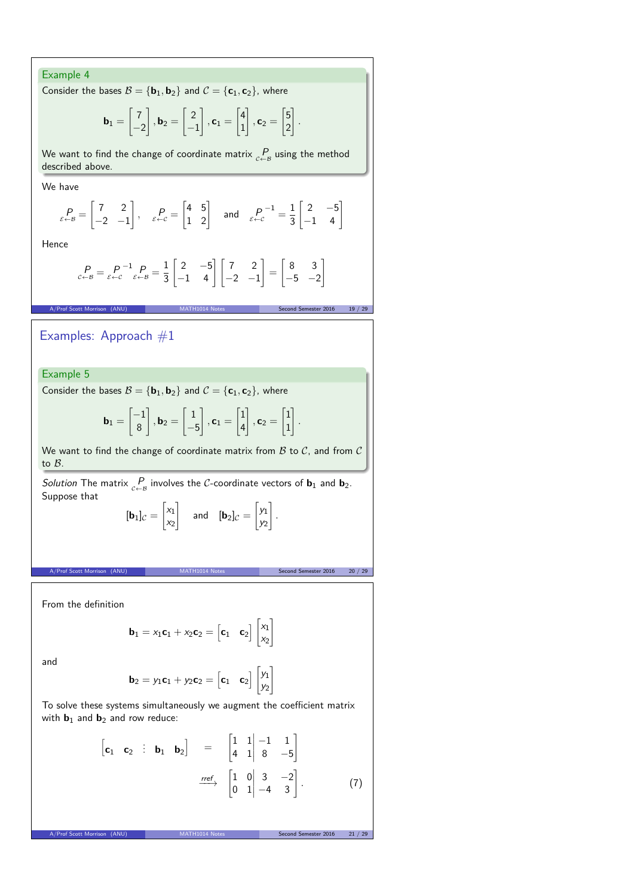Example 4 Consider the bases  $B = {\bf{b}}_1, {\bf{b}}_2$  and  $C = {\bf{c}}_1, {\bf{c}}_2$ , where  $\mathbf{b}_1 =$  $\lceil 7 \rceil$  $\frac{-2}{\sqrt{2}}$ 1  $, b_2 =$  $\lceil 2 \rceil$  $\overline{-1}$ 1  $, c_1 =$  $\lceil 4 \rceil$ 1 1  $, c_2 =$  $\sqrt{5}$ 2 1 *.* We want to find the change of coordinate matrix  $\frac{P}{c-B}$  using the method described above. We have  $P_{\varepsilon \leftarrow \mathcal{B}} =$  $\begin{bmatrix} 7 & 2 \end{bmatrix}$  $-2$   $-1$  $\Bigg\}, \quad P_{\varepsilon \leftarrow c} =$  $\begin{bmatrix} 4 & 5 \\ 1 & 2 \end{bmatrix}$  and  $\begin{bmatrix} P \\ \varepsilon \leftarrow c \end{bmatrix}$  $\frac{-1}{2} = \frac{1}{2}$ 3  $\begin{bmatrix} 2 & -5 \\ -1 & 4 \end{bmatrix}$ Hence  $P_{\varepsilon\leftarrow\mathcal{B}}=\frac{P}{\varepsilon\leftarrow\mathcal{C}}^{-1}\frac{P}{\varepsilon\leftarrow\mathcal{B}}=\frac{1}{3}$ 3  $\begin{bmatrix} 2 & -5 \\ -1 & 4 \end{bmatrix} \begin{bmatrix} 7 & 2 \\ -2 & -1 \end{bmatrix}$ 1 =  $\begin{bmatrix} 8 & 3 \end{bmatrix}$  $-5$   $-2$ 1 A/Prof Scott Morrison (ANU) MATH1014 Notes Second Semester 2016 19 / 29 / 29 Examples: Approach  $#1$ Example 5 Consider the bases  $B = {\bf{b}_1, b_2}$  and  $C = {\bf{c}_1, c_2}$ , where  $\mathbf{b}_1 =$  $\left[-1\right]$ 8 1  $, b_2 =$  $\lceil 1 \rceil$  $-5$ 1  $, c_1 =$  $\lceil 1 \rceil$ 4 1  $, c_2 =$  $\lceil 1 \rceil$ 1 1 *.* We want to find the change of coordinate matrix from  $\beta$  to  $\beta$ , and from  $\beta$ to B. Solution The matrix  $\underset{c\leftarrow B}{P}$  involves the C-coordinate vectors of **b**<sub>1</sub> and **b**<sub>2</sub>. Suppose that  $[\mathbf{b}_1]_C =$  $\left[x_{1}\right]$  $x_2$ 1 and  $[\mathbf{b}_2]_C =$  $\left[ y_1 \right]$  $y_2$ 1 *.* MATH1014 Notes Second Semester 2016 20 / 29 From the definition  $\mathbf{b}_1 = x_1 \mathbf{c}_1 + x_2 \mathbf{c}_2 = \begin{bmatrix} \mathbf{c}_1 & \mathbf{c}_2 \end{bmatrix} \begin{bmatrix} x_1 \\ x_2 \end{bmatrix}$  $x_2$ 1

and

$$
\textbf{b}_2=y_1\textbf{c}_1+y_2\textbf{c}_2=\begin{bmatrix}\textbf{c}_1 & \textbf{c}_2\end{bmatrix}\begin{bmatrix}y_1\\y_2\end{bmatrix}
$$

To solve these systems simultaneously we augment the coefficient matrix with  $\mathbf{b}_1$  and  $\mathbf{b}_2$  and row reduce:

$$
\begin{bmatrix} \mathbf{c}_1 & \mathbf{c}_2 & \vdots & \mathbf{b}_1 & \mathbf{b}_2 \end{bmatrix} = \begin{bmatrix} 1 & 1 & -1 & 1 \\ 4 & 1 & 8 & -5 \end{bmatrix}
$$

$$
\xrightarrow{ref} \begin{bmatrix} 1 & 0 & 3 & -2 \\ 0 & 1 & -4 & 3 \end{bmatrix} . \tag{7}
$$

A/Prof Scott Morrison (ANU) MATH1014 Notes Second Semester 2016 21 / 29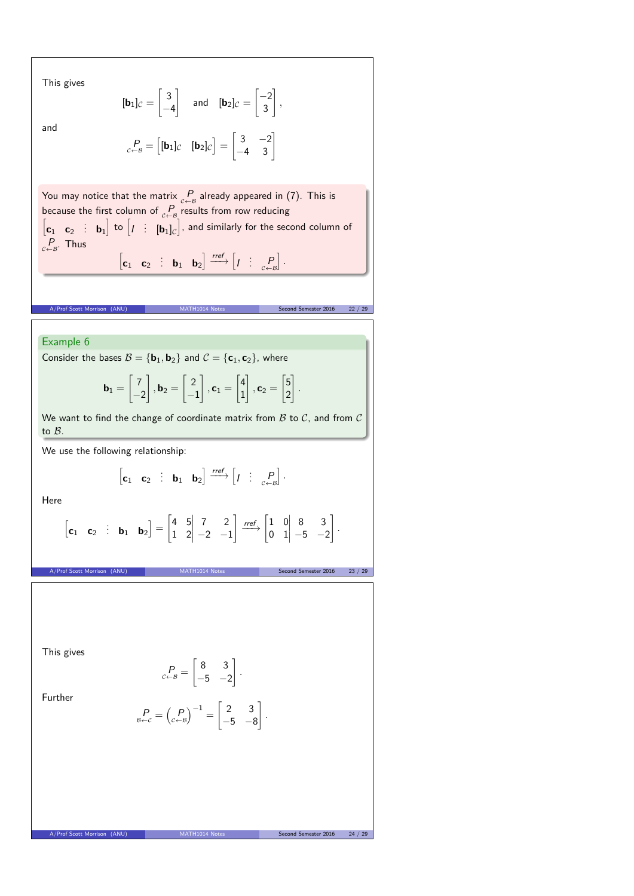This gives

$$
[\mathbf{b}_1]_C = \begin{bmatrix} 3 \\ -4 \end{bmatrix} \quad \text{and} \quad [\mathbf{b}_2]_C = \begin{bmatrix} -2 \\ 3 \end{bmatrix},
$$

and

$$
\text{P}_{c \leftarrow \mathcal{B}} = \begin{bmatrix} [\mathbf{b}_1]_{\mathcal{C}} & [\mathbf{b}_2]_{\mathcal{C}} \end{bmatrix} = \begin{bmatrix} 3 & -2 \\ -4 & 3 \end{bmatrix}
$$

You may notice that the matrix  $P \atop C \leftarrow B$  already appeared in (7). This is because the first column of  $\underset{c \leftarrow B}{P}$  results from row reducing<br>  $\begin{bmatrix} \mathbf{c}_1 & \mathbf{c}_2 \end{bmatrix}$ : **b**<sub>1</sub> to  $\begin{bmatrix} I & \vdots & \mathbf{b}_1 \end{bmatrix}$  and similarly for the second column of  $P_{c\leftarrow B}$ . Thus

 $\begin{bmatrix} \mathbf{c}_1 & \mathbf{c}_2 & \vdots & \mathbf{b}_1 & \mathbf{b}_2 \end{bmatrix} \xrightarrow{ref} \begin{bmatrix} I & \vdots & P \\ I & \mathbf{c} \leftarrow B \end{bmatrix}$ i *.*

er Scott Morrison (ANU) MATH1014 Notes Second Semester 2016 22 / 29

### Example 6

Consider the bases  $B = {\bf{b}}_1, {\bf{b}}_2$  and  $C = {\bf{c}}_1, {\bf{c}}_2$ , where

$$
\mathbf{b}_1 = \begin{bmatrix} 7 \\ -2 \end{bmatrix}, \mathbf{b}_2 = \begin{bmatrix} 2 \\ -1 \end{bmatrix}, \mathbf{c}_1 = \begin{bmatrix} 4 \\ 1 \end{bmatrix}, \mathbf{c}_2 = \begin{bmatrix} 5 \\ 2 \end{bmatrix}.
$$

We want to find the change of coordinate matrix from  $B$  to  $C$ , and from  $C$ to B.

We use the following relationship:

$$
\begin{bmatrix} \mathbf{c}_1 & \mathbf{c}_2 & \vdots & \mathbf{b}_1 & \mathbf{b}_2 \end{bmatrix} \xrightarrow{\text{ref}} \begin{bmatrix} I & \vdots & P \\ P & \vdots & \vdots \end{bmatrix}.
$$

Here

$$
\begin{bmatrix} \mathbf{c}_1 & \mathbf{c}_2 & \vdots & \mathbf{b}_1 & \mathbf{b}_2 \end{bmatrix} = \begin{bmatrix} 4 & 5 & 7 & 2 \\ 1 & 2 & -2 & -1 \end{bmatrix} \xrightarrow{\text{ref}} \begin{bmatrix} 1 & 0 & 8 & 3 \\ 0 & 1 & -5 & -2 \end{bmatrix}.
$$

A/Prof Scott Morrison (ANU) MATH1014 Notes Second Semester 2016 23 / 29

This gives

Further

$$
\underset{\mathcal{B}\leftarrow\mathcal{C}}{P} = \begin{pmatrix} P \\ \mathcal{C}\leftarrow\mathcal{B} \end{pmatrix}^{-1} = \begin{bmatrix} 2 & 3 \\ -5 & -8 \end{bmatrix}.
$$

 $\begin{bmatrix} 8 & 3 \end{bmatrix}$  $-5$   $-2$ 

1 *.*

 $P_{c\leftarrow B} =$ 

A/Prof Scott Morrison (ANU) MATH1014 Notes Second Semester 2016 24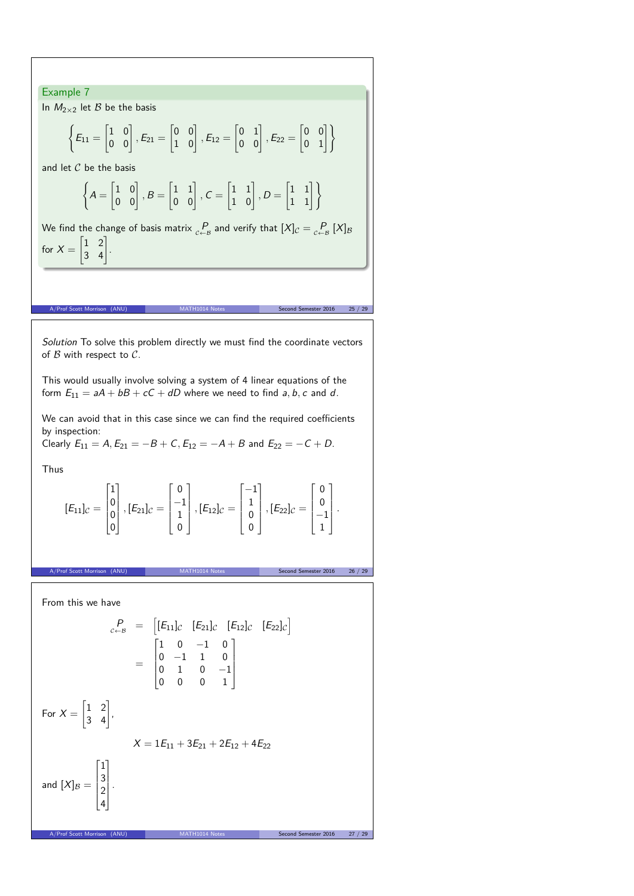Example 7 In  $M_{2\times 2}$  let  $\beta$  be the basis  $\sqrt{ }$  $E_{11} =$  $\begin{bmatrix} 1 & 0 \\ 0 & 0 \end{bmatrix}$ ,  $E_{21}$  =  $\begin{bmatrix} 0 & 0 \\ 1 & 0 \end{bmatrix}$ ,  $E_{12} =$  $\begin{bmatrix} 0 & 1 \\ 0 & 0 \end{bmatrix}$ ,  $E_{22}$  =  $\begin{bmatrix} 0 & 0 \\ 0 & 1 \end{bmatrix}$ and let  $C$  be the basis  $\sqrt{ }$  $A =$  $\begin{bmatrix} 1 & 0 \\ 0 & 0 \end{bmatrix}$ ,  $B =$  $\begin{bmatrix} 1 & 1 \\ 0 & 0 \end{bmatrix}$ ,  $C =$  $\begin{bmatrix} 1 & 1 \\ 1 & 0 \end{bmatrix}$ ,  $D =$  $\begin{bmatrix} 1 & 1 \\ 1 & 1 \end{bmatrix}$ We find the change of basis matrix  $\frac{P}{c-a}$  and verify that  $[X]_{\mathcal{C}} = \frac{P}{c+a}[X]_{\mathcal{B}}$ for  $X =$  $\begin{bmatrix} 1 & 2 \\ 3 & 4 \end{bmatrix}$ . A/Prof Scott Morrison (ANU) MATH1014 Notes Second Semester 2016 25 / 29 / 29 Solution To solve this problem directly we must find the coordinate vectors of  $B$  with respect to  $C$ . This would usually involve solving a system of 4 linear equations of the form  $E_{11} = aA + bB + cC + dD$  where we need to find a, b, c and d. We can avoid that in this case since we can find the required coefficients by inspection: Clearly  $E_{11} = A$ ,  $E_{21} = -B + C$ ,  $E_{12} = -A + B$  and  $E_{22} = -C + D$ . Thus  $[E_{11}]_C =$  $\Gamma$  $\parallel$ 1 0 0 0 T  $|$ ,  $[E_{21}]_C =$  $\Gamma$  $\parallel$ 0 −1 1 0 T  $|$ ,  $[E_{12}]_C =$  $\Gamma$  $\overline{\phantom{a}}$ −1 1 0 0 T.  $|$ ,  $[E_{22}]_C =$  $\Gamma$  $\overline{\phantom{a}}$ 0 0 −1 1 T  $\overline{\phantom{a}}$ *.* on (ANU) MATH1014 Notes Second Semester 2016 26 / 29 From this we have  $P_{c \leftarrow B} = [E_{11}]_C$   $[E_{21}]_C$   $[E_{12}]_C$   $[E_{22}]_C$ =  $\Gamma$  $\mathbf{r}$  $1 \t 0 \t -1 \t 0$  $0$   $-1$   $1$   $0$  $0 \quad 1 \quad 0 \quad -1$ 0 0 0 1 T  $\overline{\phantom{a}}$ For  $X =$  $\begin{bmatrix} 1 & 2 \\ 3 & 4 \end{bmatrix}$  $X = 1E_{11} + 3E_{21} + 2E_{12} + 4E_{22}$ and  $[X]_{\mathcal{B}} =$  $\Gamma$  $\left| \right|$ 1 3 2 4 T  $\overline{\phantom{a}}$ . A/Prof Scott Morrison (ANU)